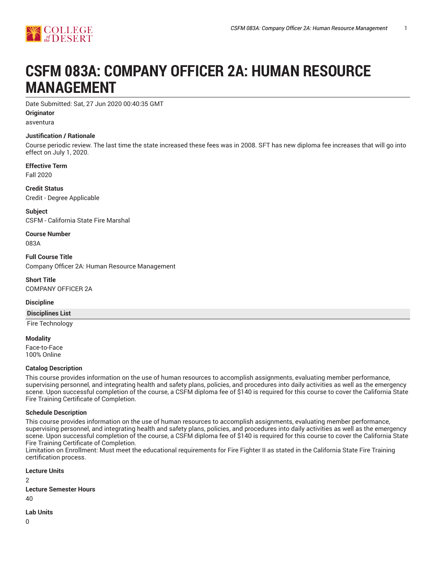

# **CSFM 083A: COMPANY OFFICER 2A: HUMAN RESOURCE MANAGEMENT**

Date Submitted: Sat, 27 Jun 2020 00:40:35 GMT

**Originator**

asventura

#### **Justification / Rationale**

Course periodic review. The last time the state increased these fees was in 2008. SFT has new diploma fee increases that will go into effect on July 1, 2020.

**Effective Term**

Fall 2020

**Credit Status** Credit - Degree Applicable

**Subject** CSFM - California State Fire Marshal

**Course Number** 083A

**Full Course Title** Company Officer 2A: Human Resource Management

**Short Title** COMPANY OFFICER 2A

**Discipline**

**Disciplines List**

Fire Technology

**Modality** Face-to-Face 100% Online

#### **Catalog Description**

This course provides information on the use of human resources to accomplish assignments, evaluating member performance, supervising personnel, and integrating health and safety plans, policies, and procedures into daily activities as well as the emergency scene. Upon successful completion of the course, a CSFM diploma fee of \$140 is required for this course to cover the California State Fire Training Certificate of Completion.

#### **Schedule Description**

This course provides information on the use of human resources to accomplish assignments, evaluating member performance, supervising personnel, and integrating health and safety plans, policies, and procedures into daily activities as well as the emergency scene. Upon successful completion of the course, a CSFM diploma fee of \$140 is required for this course to cover the California State Fire Training Certificate of Completion.

Limitation on Enrollment: Must meet the educational requirements for Fire Fighter II as stated in the California State Fire Training certification process.

**Lecture Units**  $\mathfrak{p}$ **Lecture Semester Hours** 40

**Lab Units**

0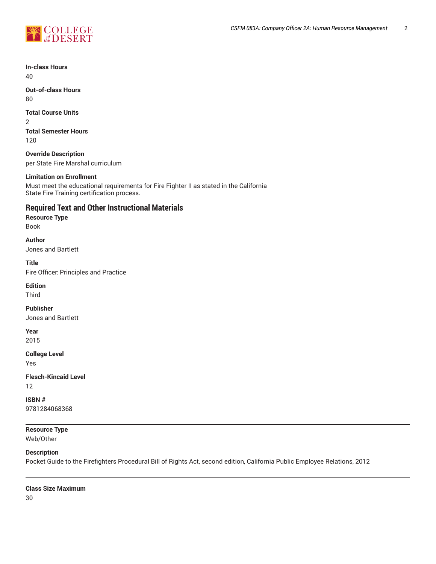

**In-class Hours** 40

**Out-of-class Hours** 80

#### **Total Course Units**

2 **Total Semester Hours** 120

**Override Description** per State Fire Marshal curriculum

#### **Limitation on Enrollment**

Must meet the educational requirements for Fire Fighter II as stated in the California State Fire Training certification process.

# **Required Text and Other Instructional Materials**

**Resource Type**

Book

#### **Author**

Jones and Bartlett

**Title**

Fire Officer: Principles and Practice

#### **Edition**

Third

**Publisher** Jones and Bartlett

# **Year**

2015

**College Level**

Yes

**Flesch-Kincaid Level** 12

**ISBN #** 9781284068368

#### **Resource Type** Web/Other

#### **Description**

Pocket Guide to the Firefighters Procedural Bill of Rights Act, second edition, California Public Employee Relations, 2012

#### **Class Size Maximum**

30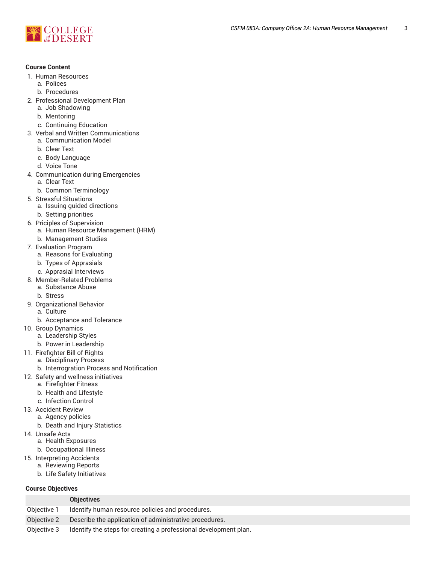

#### **Course Content**

- 1. Human Resources
	- a. Polices
	- b. Procedures
- 2. Professional Development Plan
	- a. Job Shadowing
	- b. Mentoring
	- c. Continuing Education
- 3. Verbal and Written Communications
	- a. Communication Model
	- b. Clear Text
	- c. Body Language
	- d. Voice Tone
- 4. Communication during Emergencies
	- a. Clear Text
	- b. Common Terminology
- 5. Stressful Situations
- a. Issuing guided directions
	- b. Setting priorities
- 6. Priciples of Supervision
	- a. Human Resource Management (HRM)
	- b. Management Studies
- 7. Evaluation Program
	- a. Reasons for Evaluating
	- b. Types of Apprasials
	- c. Apprasial Interviews
- 8. Member-Related Problems
- a. Substance Abuse
	- b. Stress
- 9. Organizational Behavior a. Culture
	- b. Acceptance and Tolerance
- 10. Group Dynamics
	- a. Leadership Styles
	- b. Power in Leadership
- 11. Firefighter Bill of Rights
	- a. Disciplinary Process
		- b. Interrogration Process and Notification
- 12. Safety and wellness initiatives
	- a. Firefighter Fitness
		- b. Health and Lifestyle
		- c. Infection Control
- 13. Accident Review
	- a. Agency policies
		- b. Death and Injury Statistics
- 14. Unsafe Acts
	- a. Health Exposures
	- b. Occupational Illiness
- 15. Interpreting Accidents
	- a. Reviewing Reports
		- b. Life Safety Initiatives

#### **Course Objectives**

|             | <b>Objectives</b>                                                |
|-------------|------------------------------------------------------------------|
| Objective 1 | Identify human resource policies and procedures.                 |
| Objective 2 | Describe the application of administrative procedures.           |
| Objective 3 | Identify the steps for creating a professional development plan. |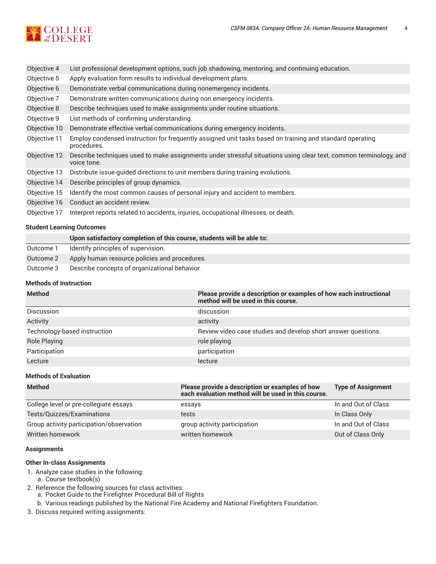

| Objective 4  | List professional development options, such job shadowing, mentoring, and continuing education.                                  |
|--------------|----------------------------------------------------------------------------------------------------------------------------------|
| Objective 5  | Apply evaluation form results to individual development plans.                                                                   |
| Objective 6  | Demonstrate verbal communications during nonemergency incidents.                                                                 |
| Objective 7  | Demonstrate written communications during non emergency incidents.                                                               |
| Objective 8  | Describe techniques used to make assignments under routine situations.                                                           |
| Objective 9  | List methods of confirming understanding.                                                                                        |
| Objective 10 | Demonstrate effective verbal communications during emergency incidents.                                                          |
| Objective 11 | Employ condensed instruction for frequently assigned unit tasks based on training and standard operating<br>procedures.          |
| Objective 12 | Describe techniques used to make assignments under stressful situations using clear text, common terminology, and<br>voice tone. |
| Objective 13 | Distribute issue-guided directions to unit members during training evolutions.                                                   |
| Objective 14 | Describe principles of group dynamics.                                                                                           |
| Objective 15 | Identify the most common causes of personal injury and accident to members.                                                      |
| Objective 16 | Conduct an accident review.                                                                                                      |
| Objective 17 | Interpret reports related to accidents, injuries, occupational illnesses, or death.                                              |

#### **Student Learning Outcomes**

|           | Upon satisfactory completion of this course, students will be able to: |
|-----------|------------------------------------------------------------------------|
| Outcome 1 | Identify principles of supervision.                                    |
| Outcome 2 | Apply human resource policies and procedures.                          |
| Outcome 3 | Describe concepts of organizational behavior.                          |
|           |                                                                        |

#### **Methods of Instruction**

| <b>Method</b>                | Please provide a description or examples of how each instructional<br>method will be used in this course. |
|------------------------------|-----------------------------------------------------------------------------------------------------------|
| Discussion                   | discussion                                                                                                |
| Activity                     | activity                                                                                                  |
| Technology-based instruction | Review video case studies and develop short answer questions.                                             |
| Role Playing                 | role playing                                                                                              |
| Participation                | participation                                                                                             |
| Lecture                      | lecture                                                                                                   |

#### **Methods of Evaluation**

| <b>Method</b>                            | Please provide a description or examples of how<br>each evaluation method will be used in this course. | <b>Type of Assignment</b> |
|------------------------------------------|--------------------------------------------------------------------------------------------------------|---------------------------|
| College level or pre-collegiate essays   | essays                                                                                                 | In and Out of Class       |
| Tests/Quizzes/Examinations               | tests                                                                                                  | In Class Only             |
| Group activity participation/observation | group activity participation                                                                           | In and Out of Class       |
| Written homework                         | written homework                                                                                       | Out of Class Only         |

#### **Assignments**

#### **Other In-class Assignments**

- 1. Analyze case studies in the following:
- a. Course textbook(s)
- 2. Reference the following sources for class activities:
	- a. Pocket Guide to the Firefighter Procedural Bill of Rights
	- b. Various readings published by the National Fire Academy and National Firefighters Foundation.
- 3. Discuss required writing assignments: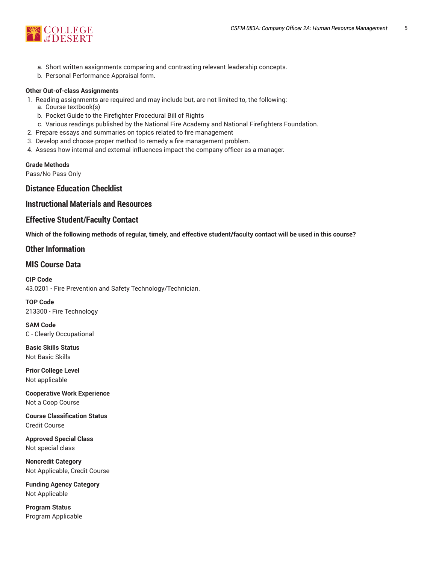

- a. Short written assignments comparing and contrasting relevant leadership concepts.
- b. Personal Performance Appraisal form.

#### **Other Out-of-class Assignments**

- 1. Reading assignments are required and may include but, are not limited to, the following:
	- a. Course textbook(s)
	- b. Pocket Guide to the Firefighter Procedural Bill of Rights
	- c. Various readings published by the National Fire Academy and National Firefighters Foundation.
- 2. Prepare essays and summaries on topics related to fire management
- 3. Develop and choose proper method to remedy a fire management problem.
- 4. Assess how internal and external influences impact the company officer as a manager.

#### **Grade Methods**

Pass/No Pass Only

# **Distance Education Checklist**

### **Instructional Materials and Resources**

#### **Effective Student/Faculty Contact**

Which of the following methods of regular, timely, and effective student/faculty contact will be used in this course?

# **Other Information**

# **MIS Course Data**

**CIP Code** 43.0201 - Fire Prevention and Safety Technology/Technician.

**TOP Code** 213300 - Fire Technology

**SAM Code** C - Clearly Occupational

**Basic Skills Status** Not Basic Skills

**Prior College Level** Not applicable

**Cooperative Work Experience** Not a Coop Course

**Course Classification Status** Credit Course

**Approved Special Class** Not special class

**Noncredit Category** Not Applicable, Credit Course

**Funding Agency Category** Not Applicable

**Program Status** Program Applicable